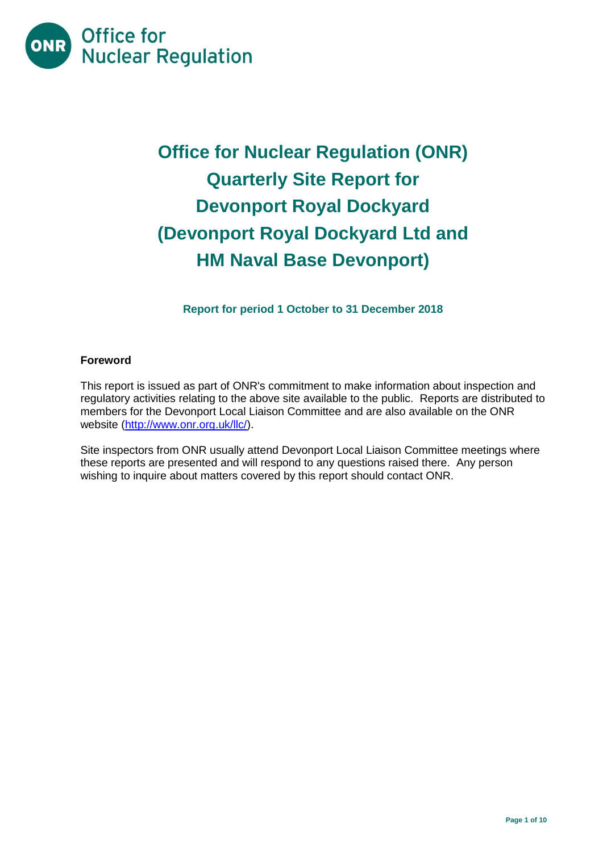

# **Office for Nuclear Regulation (ONR) Quarterly Site Report for Devonport Royal Dockyard (Devonport Royal Dockyard Ltd and HM Naval Base Devonport)**

**Report for period 1 October to 31 December 2018**

## **Foreword**

This report is issued as part of ONR's commitment to make information about inspection and regulatory activities relating to the above site available to the public. Reports are distributed to members for the Devonport Local Liaison Committee and are also available on the ONR website [\(http://www.onr.org.uk/llc/\)](http://www.onr.org.uk/llc/).

Site inspectors from ONR usually attend Devonport Local Liaison Committee meetings where these reports are presented and will respond to any questions raised there. Any person wishing to inquire about matters covered by this report should contact ONR.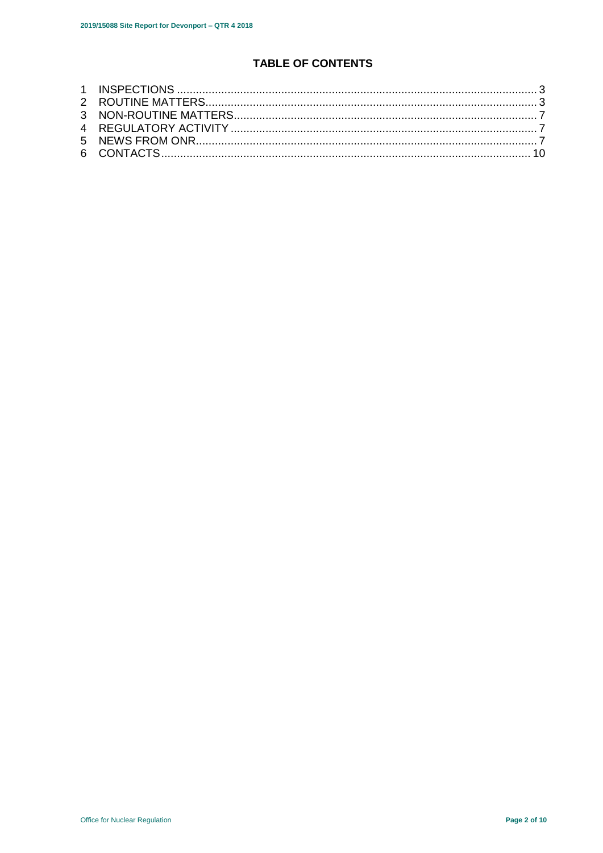## TABLE OF CONTENTS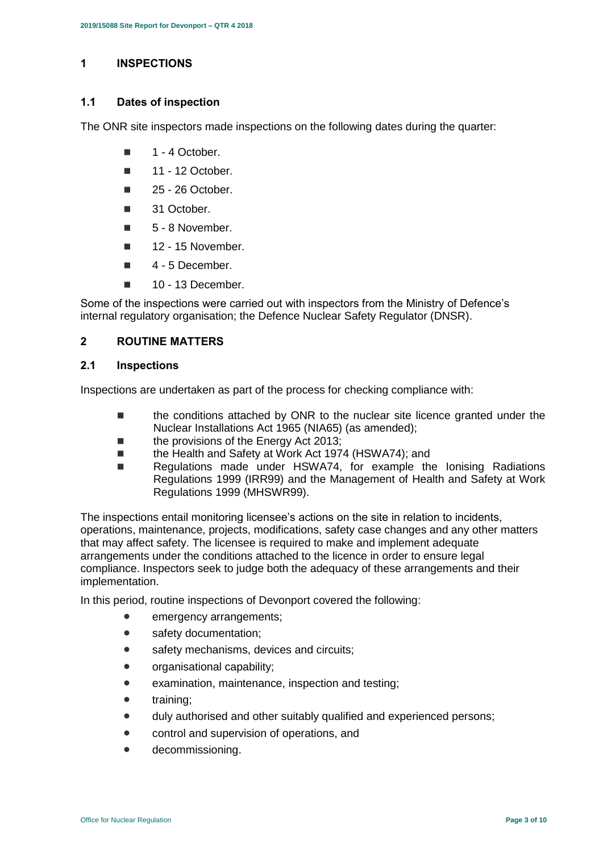## <span id="page-2-0"></span>**1 INSPECTIONS**

#### **1.1 Dates of inspection**

The ONR site inspectors made inspections on the following dates during the quarter:

- 1 4 October.
- $\blacksquare$  11 12 October.
- $\blacksquare$  25 26 October.
- 31 October.
- $\blacksquare$  5 8 November.
- $\blacksquare$  12 15 November.
- $\blacksquare$  4 5 December.
- $10 13$  December.

Some of the inspections were carried out with inspectors from the Ministry of Defence's internal regulatory organisation; the Defence Nuclear Safety Regulator (DNSR).

## <span id="page-2-1"></span>**2 ROUTINE MATTERS**

#### **2.1 Inspections**

Inspections are undertaken as part of the process for checking compliance with:

- the conditions attached by ONR to the nuclear site licence granted under the Nuclear Installations Act 1965 (NIA65) (as amended);
- the provisions of the Energy Act 2013;
- the Health and Safety at Work Act 1974 (HSWA74); and
- Regulations made under HSWA74, for example the Ionising Radiations Regulations 1999 (IRR99) and the Management of Health and Safety at Work Regulations 1999 (MHSWR99).

The inspections entail monitoring licensee's actions on the site in relation to incidents, operations, maintenance, projects, modifications, safety case changes and any other matters that may affect safety. The licensee is required to make and implement adequate arrangements under the conditions attached to the licence in order to ensure legal compliance. Inspectors seek to judge both the adequacy of these arrangements and their implementation.

In this period, routine inspections of Devonport covered the following:

- **emergency arrangements:**
- safety documentation;
- safety mechanisms, devices and circuits;
- organisational capability;
- examination, maintenance, inspection and testing;
- training;
- $\bullet$  duly authorised and other suitably qualified and experienced persons;
- control and supervision of operations, and
- decommissioning.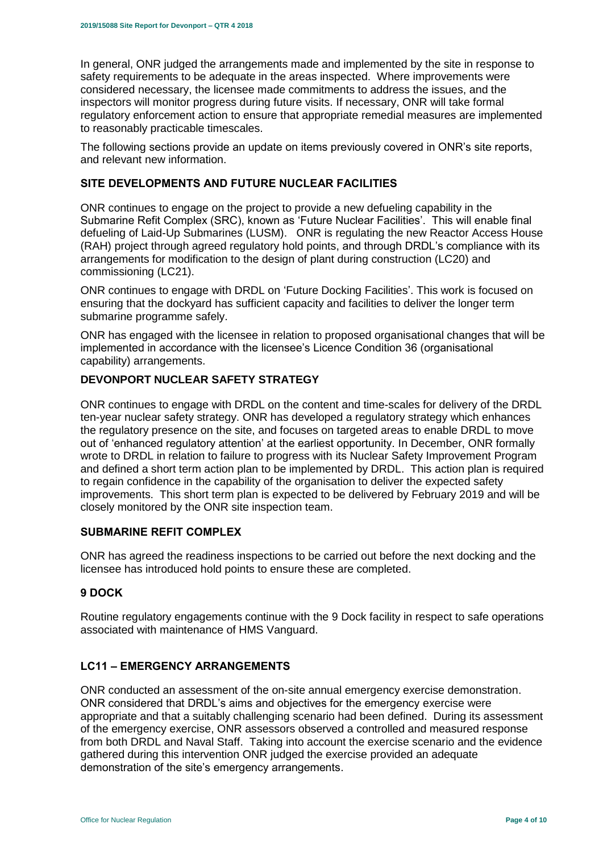In general, ONR judged the arrangements made and implemented by the site in response to safety requirements to be adequate in the areas inspected. Where improvements were considered necessary, the licensee made commitments to address the issues, and the inspectors will monitor progress during future visits. If necessary, ONR will take formal regulatory enforcement action to ensure that appropriate remedial measures are implemented to reasonably practicable timescales.

The following sections provide an update on items previously covered in ONR's site reports, and relevant new information.

## **SITE DEVELOPMENTS AND FUTURE NUCLEAR FACILITIES**

ONR continues to engage on the project to provide a new defueling capability in the Submarine Refit Complex (SRC), known as 'Future Nuclear Facilities'. This will enable final defueling of Laid-Up Submarines (LUSM). ONR is regulating the new Reactor Access House (RAH) project through agreed regulatory hold points, and through DRDL's compliance with its arrangements for modification to the design of plant during construction (LC20) and commissioning (LC21).

ONR continues to engage with DRDL on 'Future Docking Facilities'. This work is focused on ensuring that the dockyard has sufficient capacity and facilities to deliver the longer term submarine programme safely.

ONR has engaged with the licensee in relation to proposed organisational changes that will be implemented in accordance with the licensee's Licence Condition 36 (organisational capability) arrangements.

## **DEVONPORT NUCLEAR SAFETY STRATEGY**

ONR continues to engage with DRDL on the content and time-scales for delivery of the DRDL ten-year nuclear safety strategy. ONR has developed a regulatory strategy which enhances the regulatory presence on the site, and focuses on targeted areas to enable DRDL to move out of 'enhanced regulatory attention' at the earliest opportunity. In December, ONR formally wrote to DRDL in relation to failure to progress with its Nuclear Safety Improvement Program and defined a short term action plan to be implemented by DRDL. This action plan is required to regain confidence in the capability of the organisation to deliver the expected safety improvements. This short term plan is expected to be delivered by February 2019 and will be closely monitored by the ONR site inspection team.

#### **SUBMARINE REFIT COMPLEX**

ONR has agreed the readiness inspections to be carried out before the next docking and the licensee has introduced hold points to ensure these are completed.

## **9 DOCK**

Routine regulatory engagements continue with the 9 Dock facility in respect to safe operations associated with maintenance of HMS Vanguard.

#### **LC11 – EMERGENCY ARRANGEMENTS**

ONR conducted an assessment of the on-site annual emergency exercise demonstration. ONR considered that DRDL's aims and objectives for the emergency exercise were appropriate and that a suitably challenging scenario had been defined. During its assessment of the emergency exercise, ONR assessors observed a controlled and measured response from both DRDL and Naval Staff. Taking into account the exercise scenario and the evidence gathered during this intervention ONR judged the exercise provided an adequate demonstration of the site's emergency arrangements.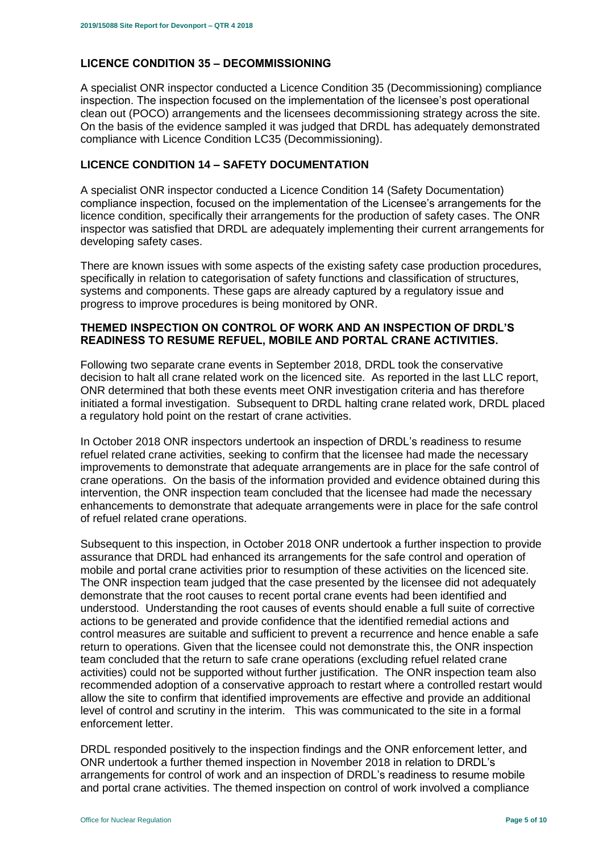## **LICENCE CONDITION 35 – DECOMMISSIONING**

A specialist ONR inspector conducted a Licence Condition 35 (Decommissioning) compliance inspection. The inspection focused on the implementation of the licensee's post operational clean out (POCO) arrangements and the licensees decommissioning strategy across the site. On the basis of the evidence sampled it was judged that DRDL has adequately demonstrated compliance with Licence Condition LC35 (Decommissioning).

## **LICENCE CONDITION 14 – SAFETY DOCUMENTATION**

A specialist ONR inspector conducted a Licence Condition 14 (Safety Documentation) compliance inspection, focused on the implementation of the Licensee's arrangements for the licence condition, specifically their arrangements for the production of safety cases. The ONR inspector was satisfied that DRDL are adequately implementing their current arrangements for developing safety cases.

There are known issues with some aspects of the existing safety case production procedures, specifically in relation to categorisation of safety functions and classification of structures, systems and components. These gaps are already captured by a regulatory issue and progress to improve procedures is being monitored by ONR.

#### **THEMED INSPECTION ON CONTROL OF WORK AND AN INSPECTION OF DRDL'S READINESS TO RESUME REFUEL, MOBILE AND PORTAL CRANE ACTIVITIES.**

Following two separate crane events in September 2018, DRDL took the conservative decision to halt all crane related work on the licenced site. As reported in the last LLC report, ONR determined that both these events meet ONR investigation criteria and has therefore initiated a formal investigation. Subsequent to DRDL halting crane related work, DRDL placed a regulatory hold point on the restart of crane activities.

In October 2018 ONR inspectors undertook an inspection of DRDL's readiness to resume refuel related crane activities, seeking to confirm that the licensee had made the necessary improvements to demonstrate that adequate arrangements are in place for the safe control of crane operations. On the basis of the information provided and evidence obtained during this intervention, the ONR inspection team concluded that the licensee had made the necessary enhancements to demonstrate that adequate arrangements were in place for the safe control of refuel related crane operations.

Subsequent to this inspection, in October 2018 ONR undertook a further inspection to provide assurance that DRDL had enhanced its arrangements for the safe control and operation of mobile and portal crane activities prior to resumption of these activities on the licenced site. The ONR inspection team judged that the case presented by the licensee did not adequately demonstrate that the root causes to recent portal crane events had been identified and understood. Understanding the root causes of events should enable a full suite of corrective actions to be generated and provide confidence that the identified remedial actions and control measures are suitable and sufficient to prevent a recurrence and hence enable a safe return to operations. Given that the licensee could not demonstrate this, the ONR inspection team concluded that the return to safe crane operations (excluding refuel related crane activities) could not be supported without further justification. The ONR inspection team also recommended adoption of a conservative approach to restart where a controlled restart would allow the site to confirm that identified improvements are effective and provide an additional level of control and scrutiny in the interim. This was communicated to the site in a formal enforcement letter.

DRDL responded positively to the inspection findings and the ONR enforcement letter, and ONR undertook a further themed inspection in November 2018 in relation to DRDL's arrangements for control of work and an inspection of DRDL's readiness to resume mobile and portal crane activities. The themed inspection on control of work involved a compliance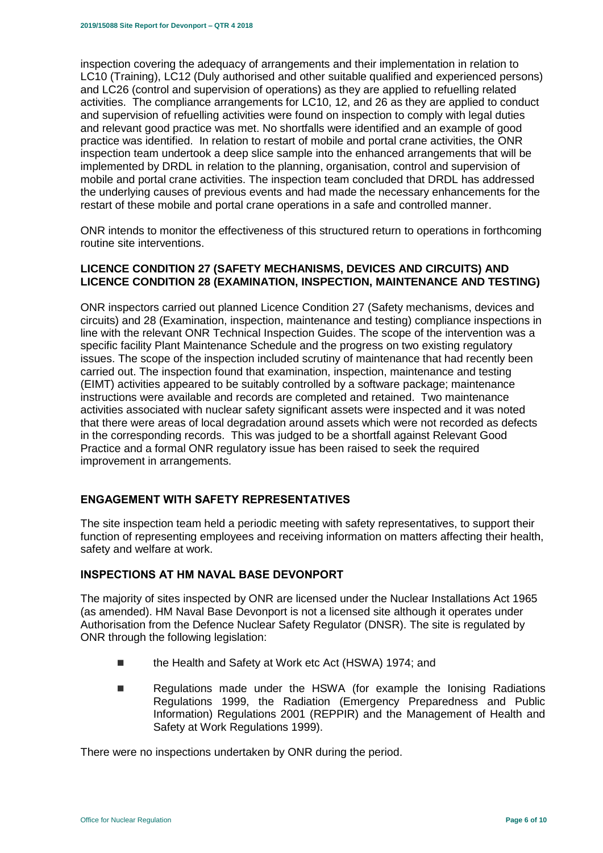inspection covering the adequacy of arrangements and their implementation in relation to LC10 (Training), LC12 (Duly authorised and other suitable qualified and experienced persons) and LC26 (control and supervision of operations) as they are applied to refuelling related activities. The compliance arrangements for LC10, 12, and 26 as they are applied to conduct and supervision of refuelling activities were found on inspection to comply with legal duties and relevant good practice was met. No shortfalls were identified and an example of good practice was identified. In relation to restart of mobile and portal crane activities, the ONR inspection team undertook a deep slice sample into the enhanced arrangements that will be implemented by DRDL in relation to the planning, organisation, control and supervision of mobile and portal crane activities. The inspection team concluded that DRDL has addressed the underlying causes of previous events and had made the necessary enhancements for the restart of these mobile and portal crane operations in a safe and controlled manner.

ONR intends to monitor the effectiveness of this structured return to operations in forthcoming routine site interventions.

#### **LICENCE CONDITION 27 (SAFETY MECHANISMS, DEVICES AND CIRCUITS) AND LICENCE CONDITION 28 (EXAMINATION, INSPECTION, MAINTENANCE AND TESTING)**

ONR inspectors carried out planned Licence Condition 27 (Safety mechanisms, devices and circuits) and 28 (Examination, inspection, maintenance and testing) compliance inspections in line with the relevant ONR Technical Inspection Guides. The scope of the intervention was a specific facility Plant Maintenance Schedule and the progress on two existing regulatory issues. The scope of the inspection included scrutiny of maintenance that had recently been carried out. The inspection found that examination, inspection, maintenance and testing (EIMT) activities appeared to be suitably controlled by a software package; maintenance instructions were available and records are completed and retained. Two maintenance activities associated with nuclear safety significant assets were inspected and it was noted that there were areas of local degradation around assets which were not recorded as defects in the corresponding records. This was judged to be a shortfall against Relevant Good Practice and a formal ONR regulatory issue has been raised to seek the required improvement in arrangements.

## **ENGAGEMENT WITH SAFETY REPRESENTATIVES**

The site inspection team held a periodic meeting with safety representatives, to support their function of representing employees and receiving information on matters affecting their health, safety and welfare at work.

#### **INSPECTIONS AT HM NAVAL BASE DEVONPORT**

The majority of sites inspected by ONR are licensed under the Nuclear Installations Act 1965 (as amended). HM Naval Base Devonport is not a licensed site although it operates under Authorisation from the Defence Nuclear Safety Regulator (DNSR). The site is regulated by ONR through the following legislation:

- the Health and Safety at Work etc Act (HSWA) 1974; and
- Regulations made under the HSWA (for example the Ionising Radiations Regulations 1999, the Radiation (Emergency Preparedness and Public Information) Regulations 2001 (REPPIR) and the Management of Health and Safety at Work Regulations 1999).

There were no inspections undertaken by ONR during the period.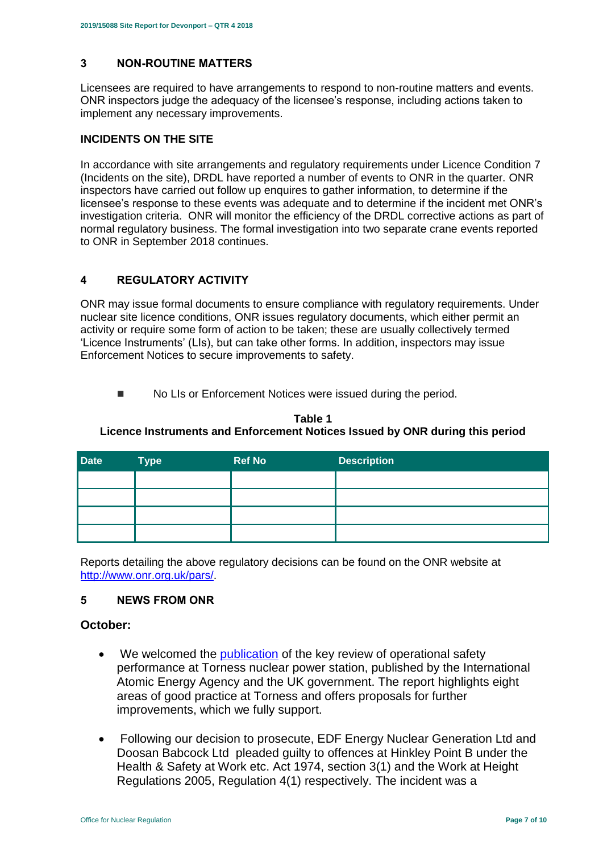## <span id="page-6-0"></span>**3 NON-ROUTINE MATTERS**

Licensees are required to have arrangements to respond to non-routine matters and events. ONR inspectors judge the adequacy of the licensee's response, including actions taken to implement any necessary improvements.

## **INCIDENTS ON THE SITE**

In accordance with site arrangements and regulatory requirements under Licence Condition 7 (Incidents on the site), DRDL have reported a number of events to ONR in the quarter. ONR inspectors have carried out follow up enquires to gather information, to determine if the licensee's response to these events was adequate and to determine if the incident met ONR's investigation criteria. ONR will monitor the efficiency of the DRDL corrective actions as part of normal regulatory business. The formal investigation into two separate crane events reported to ONR in September 2018 continues.

## <span id="page-6-1"></span>**4 REGULATORY ACTIVITY**

ONR may issue formal documents to ensure compliance with regulatory requirements. Under nuclear site licence conditions, ONR issues regulatory documents, which either permit an activity or require some form of action to be taken; these are usually collectively termed 'Licence Instruments' (LIs), but can take other forms. In addition, inspectors may issue Enforcement Notices to secure improvements to safety.

■ No LIs or Enforcement Notices were issued during the period.

#### **Table 1 Licence Instruments and Enforcement Notices Issued by ONR during this period**

| <b>Date</b> | <b>Type</b> | <b>Ref No</b> | <b>Description</b> |
|-------------|-------------|---------------|--------------------|
|             |             |               |                    |
|             |             |               |                    |
|             |             |               |                    |
|             |             |               |                    |

Reports detailing the above regulatory decisions can be found on the ONR website at [http://www.onr.org.uk/pars/.](http://www.onr.org.uk/pars/)

#### <span id="page-6-2"></span>**5 NEWS FROM ONR**

#### **October:**

- We welcomed the [publication](http://news.onr.org.uk/2018/10/iaea-review-torness-power-station/) of the key review of operational safety performance at Torness nuclear power station, published by the International Atomic Energy Agency and the UK government. The report highlights eight areas of good practice at Torness and offers proposals for further improvements, which we fully support.
- Following our decision to prosecute, EDF Energy Nuclear Generation Ltd and Doosan Babcock Ltd pleaded guilty to offences at Hinkley Point B under the Health & Safety at Work etc. Act 1974, section 3(1) and the Work at Height Regulations 2005, Regulation 4(1) respectively. The incident was a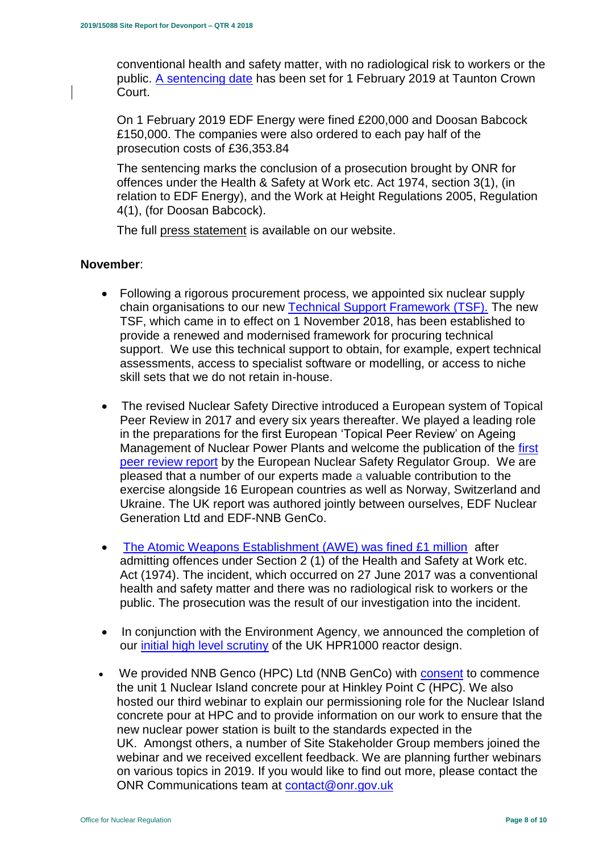conventional health and safety matter, with no radiological risk to workers or the public. [A sentencing date](http://news.onr.org.uk/2018/10/edf-and-doosan-babcock-plead-guilty/) has been set for 1 February 2019 at Taunton Crown Court.

On 1 February 2019 EDF Energy were fined £200,000 and Doosan Babcock £150,000. The companies were also ordered to each pay half of the prosecution costs of £36,353.84

The sentencing marks the conclusion of a prosecution brought by ONR for offences under the Health & Safety at Work etc. Act 1974, section 3(1), (in relation to EDF Energy), and the Work at Height Regulations 2005, Regulation 4(1), (for Doosan Babcock).

The full [press statement](http://news.onr.org.uk/2019/02/companies-fined-for-health-and-safety-breaches/) is available on our website.

## **November**:

- Following a rigorous procurement process, we appointed six nuclear supply chain organisations to our new [Technical Support Framework \(TSF\).](http://news.onr.org.uk/2018/11/new-technical-support-framework-announced/) The new TSF, which came in to effect on 1 November 2018, has been established to provide a renewed and modernised framework for procuring technical support. We use this technical support to obtain, for example, expert technical assessments, access to specialist software or modelling, or access to niche skill sets that we do not retain in-house.
- The revised Nuclear Safety Directive introduced a European system of Topical Peer Review in 2017 and every six years thereafter. We played a leading role in the preparations for the first European 'Topical Peer Review' on Ageing Management of Nuclear Power Plants and welcome the publication of the [first](http://news.onr.org.uk/2018/11/onr-welcomes-first-topical-peer-review/)  [peer review report](http://news.onr.org.uk/2018/11/onr-welcomes-first-topical-peer-review/) by the European Nuclear Safety Regulator Group. We are pleased that a number of our experts made a valuable contribution to the exercise alongside 16 European countries as well as Norway, Switzerland and Ukraine. The UK report was authored jointly between ourselves, EDF Nuclear Generation Ltd and EDF-NNB GenCo.
- [The Atomic Weapons Establishment \(AWE\) was fined £1 million](http://news.onr.org.uk/2018/11/awe-prosecution-reaction/) after admitting offences under Section 2 (1) of the Health and Safety at Work etc. Act (1974). The incident, which occurred on 27 June 2017 was a conventional health and safety matter and there was no radiological risk to workers or the public. The prosecution was the result of our investigation into the incident.
- In conjunction with the Environment Agency, we announced the completion of our [initial high level scrutiny](http://news.onr.org.uk/2018/11/uk-hpr1000-completes-gda-step-2/) of the UK HPR1000 reactor design.
- We provided NNB Genco (HPC) Ltd (NNB GenCo) with [consent](http://news.onr.org.uk/2018/11/consent-for-hinkley-point-c-nuclear-island-concrete-pour/) to commence the unit 1 Nuclear Island concrete pour at Hinkley Point C (HPC). We also hosted our third webinar to explain our permissioning role for the Nuclear Island concrete pour at HPC and to provide information on our work to ensure that the new nuclear power station is built to the standards expected in the UK. Amongst others, a number of Site Stakeholder Group members joined the webinar and we received excellent feedback. We are planning further webinars on various topics in 2019. If you would like to find out more, please contact the ONR Communications team at [contact@onr.gov.uk](mailto:contact@onr.gov.uk)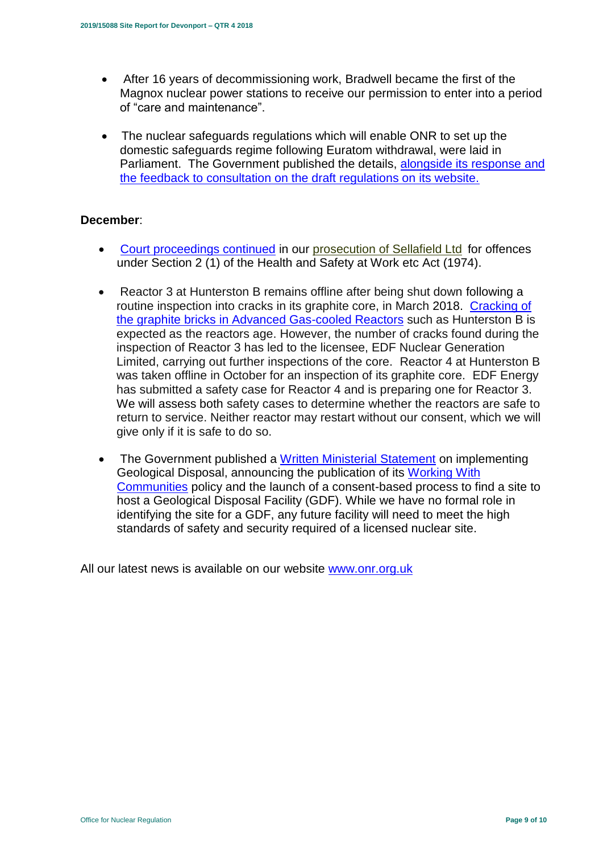- After 16 years of decommissioning work, Bradwell became the first of the Magnox nuclear power stations to receive our permission to enter into a period of "care and maintenance".
- The nuclear safeguards regulations which will enable ONR to set up the domestic safeguards regime following Euratom withdrawal, were laid in Parliament. The Government published the details, alongside its response and [the feedback to consultation on the draft regulations on its website.](https://www.gov.uk/government/consultations/nuclear-safeguards-regulations)

## **December**:

- [Court proceedings continued](http://news.onr.org.uk/2018/12/prosecution-of-sellafield-ltd/) in our [prosecution of Sellafield Ltd](http://news.onr.org.uk/2018/07/update-prosecution-of-sellafield-ltd/) for offences under Section 2 (1) of the Health and Safety at Work etc Act (1974).
- Reactor 3 at Hunterston B remains offline after being shut down following a routine inspection into cracks in its graphite core, in March 2018. [Cracking of](http://www.onr.org.uk/civil-nuclear-reactors/graphite-core-of-agrs.htm)  [the graphite bricks in Advanced Gas-cooled Reactors](http://www.onr.org.uk/civil-nuclear-reactors/graphite-core-of-agrs.htm) such as Hunterston B is expected as the reactors age. However, the number of cracks found during the inspection of Reactor 3 has led to the licensee, EDF Nuclear Generation Limited, carrying out further inspections of the core. Reactor 4 at Hunterston B was taken offline in October for an inspection of its graphite core. EDF Energy has submitted a safety case for Reactor 4 and is preparing one for Reactor 3. We will assess both safety cases to determine whether the reactors are safe to return to service. Neither reactor may restart without our consent, which we will give only if it is safe to do so.
- The Government published a [Written Ministerial Statement](https://www.parliament.uk/business/publications/written-questions-answers-statements/written-statement/Commons/2018-12-19/HCWS1217/) on implementing Geological Disposal, announcing the publication of its [Working With](https://www.gov.uk/government/publications/implementing-geological-disposal-working-with-communities-long-term-management-of-higher-activity-radioactive-waste)  [Communities](https://www.gov.uk/government/publications/implementing-geological-disposal-working-with-communities-long-term-management-of-higher-activity-radioactive-waste) policy and the launch of a consent-based process to find a site to host a Geological Disposal Facility (GDF). While we have no formal role in identifying the site for a GDF, any future facility will need to meet the high standards of safety and security required of a licensed nuclear site.

All our latest news is available on our website [www.onr.org.uk](http://www.onr.org.uk/)